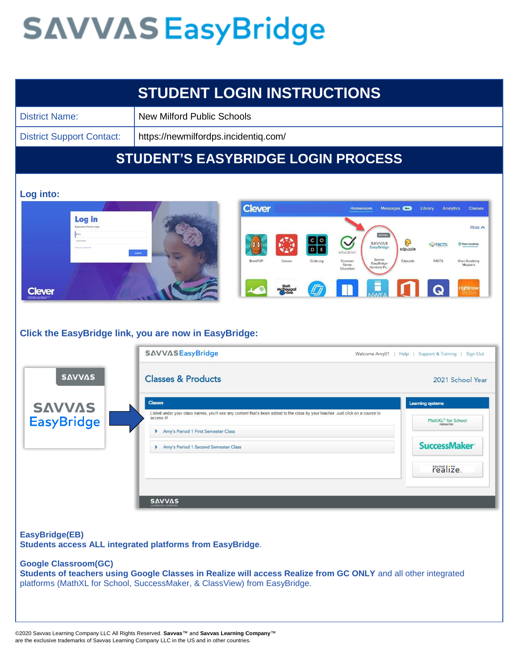|                                               | <b>STUDENT LOGIN INSTRUCTIONS</b>                                                                                                                                                                                                                                                                                                            |                                                                                                                                                                                                            |  |
|-----------------------------------------------|----------------------------------------------------------------------------------------------------------------------------------------------------------------------------------------------------------------------------------------------------------------------------------------------------------------------------------------------|------------------------------------------------------------------------------------------------------------------------------------------------------------------------------------------------------------|--|
| <b>District Name:</b>                         | <b>New Milford Public Schools</b>                                                                                                                                                                                                                                                                                                            |                                                                                                                                                                                                            |  |
| <b>District Support Contact:</b>              | https://newmilfordps.incidentiq.com/                                                                                                                                                                                                                                                                                                         |                                                                                                                                                                                                            |  |
|                                               | <b>STUDENT'S EASYBRIDGE LOGIN PROCESS</b>                                                                                                                                                                                                                                                                                                    |                                                                                                                                                                                                            |  |
| Log into:<br>Log in<br><b>Clever</b>          | <b>Clever</b><br>Homeroom<br><b>SAVVAS</b><br>$\ddot{\phantom{0}}$<br><b>SAVVAS</b><br>EasyBridge<br>education<br>Log in<br>Savvas<br>BrainPOP<br>Code.org<br>Common<br>Canvas<br>EasyBridge<br>Sense<br>formerly Pe<br>Education<br>Holt<br>McDougal<br>Poline<br><b>II</b><br><b>Click the EasyBridge link, you are now in EasyBridge:</b> | <b>Classes</b><br>Messages (New)<br>Library<br><b>Analytics</b><br>Hide A<br>$\mathcal{S}$<br>Khan Academy<br><b>SPACTS</b><br>edpuzzle<br>Edpuzzle<br><b>FACTS</b><br>Khan Academy<br>Mappers<br>rightnow |  |
|                                               | <b>SAVVASEasyBridge</b>                                                                                                                                                                                                                                                                                                                      | Welcome Amy01   Help   Support & Training   Sign Out                                                                                                                                                       |  |
| <b>SAVVAS</b>                                 | <b>Classes &amp; Products</b>                                                                                                                                                                                                                                                                                                                | 2021 School Year                                                                                                                                                                                           |  |
| <b>SAVVAS</b><br><b>EasyBridge</b>            | <b>Classes</b><br>Listed under your class names, you'll see any content that's been added to the class by your teacher. Just click on a course to<br>access it!<br>Amy's Period 1 First Semester Class<br>Þ<br>Amy's Period 1 Second Semester Class<br><b>SAVVAS</b>                                                                         | <b>Learning systems</b><br>MathXL® for School<br>resources<br><b>SuccessMaker</b><br>realize.                                                                                                              |  |
| EasyBridge(EB)<br><b>Google Classroom(GC)</b> | Students access ALL integrated platforms from EasyBridge.<br>Students of teachers using Google Classes in Realize will access Realize from GC ONLY and all other integrated<br>platforms (MathXL for School, SuccessMaker, & ClassView) from EasyBridge.                                                                                     |                                                                                                                                                                                                            |  |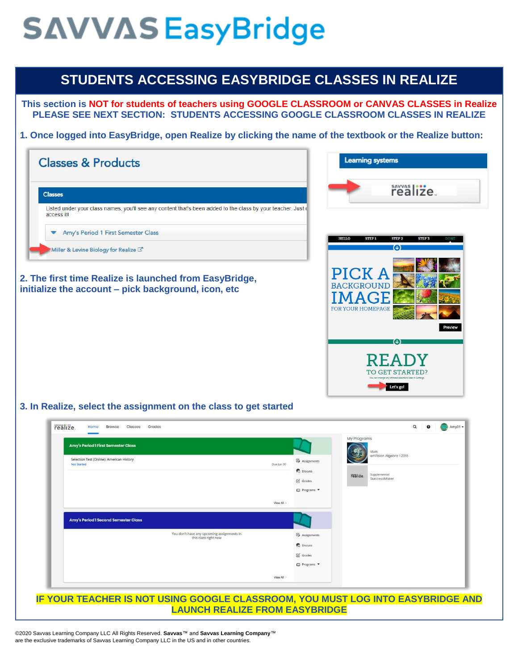### **STUDENTS ACCESSING EASYBRIDGE CLASSES IN REALIZE**

**This section is NOT for students of teachers using GOOGLE CLASSROOM or CANVAS CLASSES in Realize PLEASE SEE NEXT SECTION: STUDENTS ACCESSING GOOGLE CLASSROOM CLASSES IN REALIZE**

**1. Once logged into EasyBridge, open Realize by clicking the name of the textbook or the Realize button:**



©2020 Savvas Learning Company LLC All Rights Reserved. **Savvas**™ and **Savvas Learning Company**™ are the exclusive trademarks of Savvas Learning Company LLC in the US and in other countries.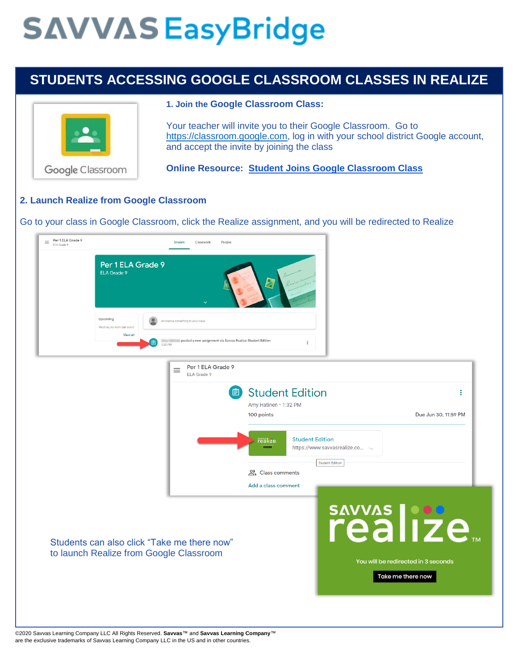## **STUDENTS ACCESSING GOOGLE CLASSROOM CLASSES IN REALIZE**



#### **1. Join the Google Classroom Class:**

Your teacher will invite you to their Google Classroom. Go to [https://classroom.google.com,](https://classroom.google.com/) log in with your school district Google account, and accept the invite by joining the class

**Online Resource: [Student Joins Google Classroom Class](https://media.pk12ls.com/curriculum/EasyBridge/EBALL/Google_Classroom/General_Steps/Step2_Student_Joins_GC_Class.pdf)**

#### **2. Launch Realize from Google Classroom**

Go to your class in Google Classroom, click the Realize assignment, and you will be redirected to Realize



©2020 Savvas Learning Company LLC All Rights Reserved. **Savvas**™ and **Savvas Learning Company**™ are the exclusive trademarks of Savvas Learning Company LLC in the US and in other countries.